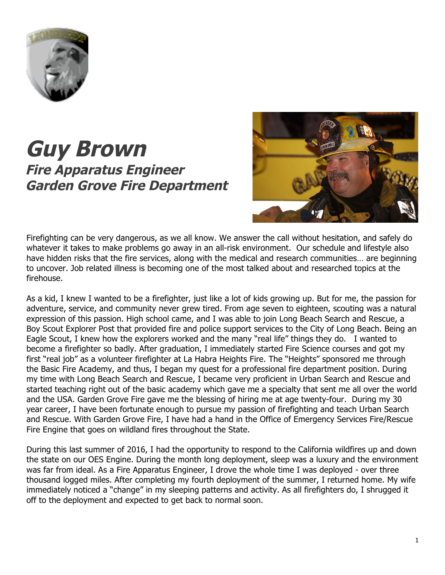

## **Guy Brown Fire Apparatus Engineer Garden Grove Fire Department**



Firefighting can be very dangerous, as we all know. We answer the call without hesitation, and safely do whatever it takes to make problems go away in an all-risk environment. Our schedule and lifestyle also have hidden risks that the fire services, along with the medical and research communities… are beginning to uncover. Job related illness is becoming one of the most talked about and researched topics at the firehouse.

As a kid, I knew I wanted to be a firefighter, just like a lot of kids growing up. But for me, the passion for adventure, service, and community never grew tired. From age seven to eighteen, scouting was a natural expression of this passion. High school came, and I was able to join Long Beach Search and Rescue, a Boy Scout Explorer Post that provided fire and police support services to the City of Long Beach. Being an Eagle Scout, I knew how the explorers worked and the many "real life" things they do. I wanted to become a firefighter so badly. After graduation, I immediately started Fire Science courses and got my first "real job" as a volunteer firefighter at La Habra Heights Fire. The "Heights" sponsored me through the Basic Fire Academy, and thus, I began my quest for a professional fire department position. During my time with Long Beach Search and Rescue, I became very proficient in Urban Search and Rescue and started teaching right out of the basic academy which gave me a specialty that sent me all over the world and the USA. Garden Grove Fire gave me the blessing of hiring me at age twenty-four. During my 30 year career, I have been fortunate enough to pursue my passion of firefighting and teach Urban Search and Rescue. With Garden Grove Fire, I have had a hand in the Office of Emergency Services Fire/Rescue Fire Engine that goes on wildland fires throughout the State.

During this last summer of 2016, I had the opportunity to respond to the California wildfires up and down the state on our OES Engine. During the month long deployment, sleep was a luxury and the environment was far from ideal. As a Fire Apparatus Engineer, I drove the whole time I was deployed - over three thousand logged miles. After completing my fourth deployment of the summer, I returned home. My wife immediately noticed a "change" in my sleeping patterns and activity. As all firefighters do, I shrugged it off to the deployment and expected to get back to normal soon.